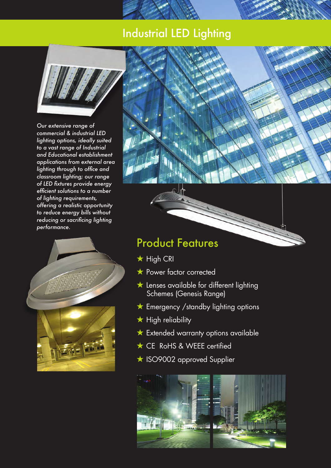# Industrial LED Lighting



*Our extensive range of commercial & industrial LED lighting options, ideally suited to a vast range of Industrial and Educational establishment applications from external area lighting through to office and classroom lighting; our range of LED fixtures provide energy efficient solutions to a number of lighting requirements, offering a realistic opportunity to reduce energy bills without reducing or sacrificing lighting performance.* 





### Product Features

- $\overline{\star}$  High CRI
- $\star$  Power factor corrected
- $\star$  Lenses available for different lighting Schemes (Genesis Range)
- $\star$  Emergency / standby lighting options
- $\star$  High reliability
- \* Extended warranty options available
- $\star$  CE RoHS & WEEE certified
- ★ ISO9002 approved Supplier